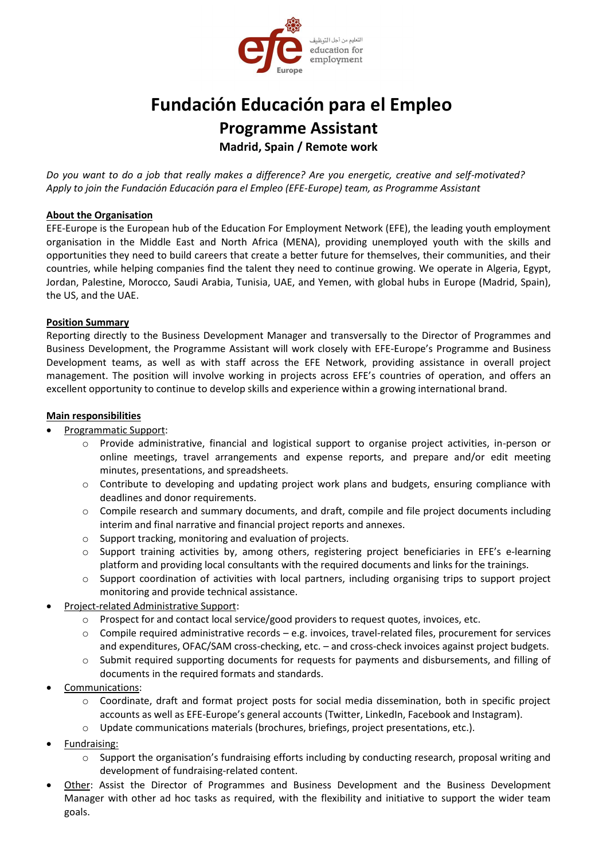

# **Fundación Educación para el Empleo Programme Assistant Madrid, Spain / Remote work**

*Do you want to do a job that really makes a difference? Are you energetic, creative and self-motivated? Apply to join the Fundación Educación para el Empleo (EFE-Europe) team, as Programme Assistant* 

#### **About the Organisation**

EFE-Europe is the European hub of the Education For Employment Network (EFE), the leading youth employment organisation in the Middle East and North Africa (MENA), providing unemployed youth with the skills and opportunities they need to build careers that create a better future for themselves, their communities, and their countries, while helping companies find the talent they need to continue growing. We operate in Algeria, Egypt, Jordan, Palestine, Morocco, Saudi Arabia, Tunisia, UAE, and Yemen, with global hubs in Europe (Madrid, Spain), the US, and the UAE.

#### **Position Summary**

Reporting directly to the Business Development Manager and transversally to the Director of Programmes and Business Development, the Programme Assistant will work closely with EFE-Europe's Programme and Business Development teams, as well as with staff across the EFE Network, providing assistance in overall project management. The position will involve working in projects across EFE's countries of operation, and offers an excellent opportunity to continue to develop skills and experience within a growing international brand.

#### **Main responsibilities**

- Programmatic Support:
	- o Provide administrative, financial and logistical support to organise project activities, in-person or online meetings, travel arrangements and expense reports, and prepare and/or edit meeting minutes, presentations, and spreadsheets.
	- o Contribute to developing and updating project work plans and budgets, ensuring compliance with deadlines and donor requirements.
	- o Compile research and summary documents, and draft, compile and file project documents including interim and final narrative and financial project reports and annexes.
	- o Support tracking, monitoring and evaluation of projects.
	- o Support training activities by, among others, registering project beneficiaries in EFE's e-learning platform and providing local consultants with the required documents and links for the trainings.
	- $\circ$  Support coordination of activities with local partners, including organising trips to support project monitoring and provide technical assistance.
- Project-related Administrative Support:
	- o Prospect for and contact local service/good providers to request quotes, invoices, etc.
	- $\circ$  Compile required administrative records e.g. invoices, travel-related files, procurement for services and expenditures, OFAC/SAM cross-checking, etc. – and cross-check invoices against project budgets.
	- o Submit required supporting documents for requests for payments and disbursements, and filling of documents in the required formats and standards.
- Communications:
	- o Coordinate, draft and format project posts for social media dissemination, both in specific project accounts as well as EFE-Europe's general accounts (Twitter, LinkedIn, Facebook and Instagram).
	- o Update communications materials (brochures, briefings, project presentations, etc.).
- Fundraising:
	- o Support the organisation's fundraising efforts including by conducting research, proposal writing and development of fundraising-related content.
- Other: Assist the Director of Programmes and Business Development and the Business Development Manager with other ad hoc tasks as required, with the flexibility and initiative to support the wider team goals.